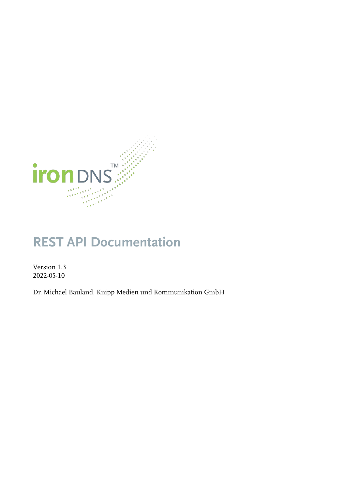

# **REST API Documentation**

Version 1.3 2022-05-10

Dr. Michael Bauland, Knipp Medien und Kommunikation GmbH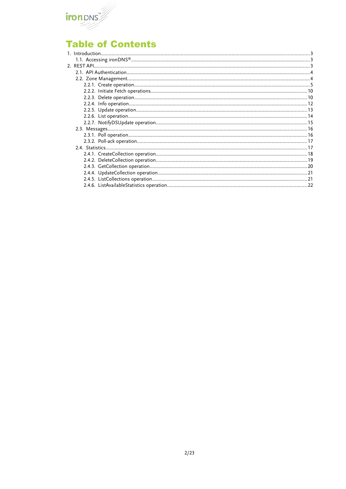

# **Table of Contents**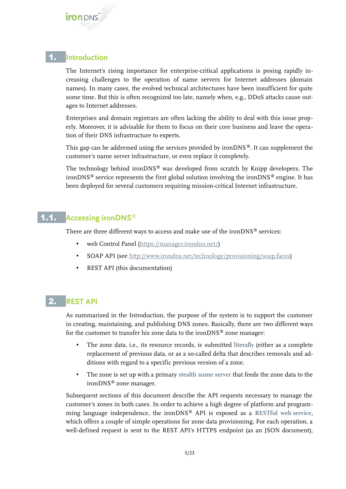

### 1. **Introduction**

The Internet's rising importance for enterprise-critical applications is posing rapidly increasing challenges to the operation of name servers for Internet addresses (domain names). In many cases, the evolved technical architectures have been insufficient for quite some time. But this is often recognized too late, namely when, e.g., DDoS attacks cause outages to Internet addresses.

Enterprises and domain registrars are often lacking the ability to deal with this issue properly. Moreover, it is advisable for them to focus on their core business and leave the operation of their DNS infrastructure to experts.

This gap can be addressed using the services provided by ironDNS®. It can supplement the customer's name server infrastructure, or even replace it completely.

The technology behind ironDNS® was developed from scratch by Knipp developers. The ironDNS<sup>®</sup> service represents the first global solution involving the ironDNS<sup>®</sup> engine. It has been deployed for several customers requiring mission-critical Internet infrastructure.

# 1.1. **Accessing ironDNS®**

There are three different ways to access and make use of the ironDNS $\degree$  services:

- web Control Panel (<https://manager.irondns.net/>)
- SOAP API (see<http://www.irondns.net/technology/provisioning/soap.faces>)
- REST API (this documentation)

# **REST API**

As summarized in the Introduction, the purpose of the system is to support the customer in creating, maintaining, and publishing DNS zones. Basically, there are two different ways for the customer to transfer his zone data to the ironDNS® zone manager:

- The zone data, i.e., its resource records, is submitted **literally** (either as a complete replacement of previous data, or as a so-called delta that describes removals and additions with regard to a specific previous version of a zone.
- The zone is set up with a primary **stealth name server** that feeds the zone data to the ironDNS® zone manager.

Subsequent sections of this document describe the API requests necessary to manage the customer's zones in both cases. In order to achieve a high degree of platform and programming language independence, the ironDNS® API is exposed as a **RESTful web service**, which offers a couple of simple operations for zone data provisioning. For each operation, a well-defined request is sent to the REST API's HTTPS endpoint (as an JSON document),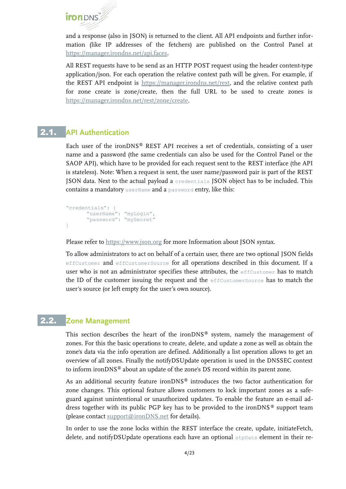

and a response (also in JSON) is returned to the client. All API endpoints and further information (like IP addresses of the fetchers) are published on the Control Panel at [https://manager.irondns.net/api.faces.](https://manager.irondns.net/api.faces)

All REST requests have to be send as an HTTP POST request using the header content-type application/json. For each operation the relative context path will be given. For example, if the REST API endpoint is https://manager.irondns.net/rest, and the relative context path for zone create is zone/create, then the full URL to be used to create zones is [https://manager.irondns.net/rest/zone/create.](https://manager.irondns.net/rest/zone/create)

### **API Authentication**

Each user of the ironDNS® REST API receives a set of credentials, consisting of a user name and a password (the same credentials can also be used for the Control Panel or the SAOP API), which have to be provided for each request sent to the REST interface (the API is stateless). Note: When a request is sent, the user name/password pair is part of the REST JSON data. Next to the actual payload a credentials JSON object has to be included. This contains a mandatory userName and a password entry, like this:

```
"credentials": {
      "userName": "myLogin",
      "password": "mySecret"
}
```
Please refer to [https://www.json.org](https://www.json.org/) for more Information about JSON syntax.

To allow administrators to act on behalf of a certain user, there are two optional JSON fields effCustomer and effCustomerSource for all operations described in this document. If a user who is not an administrator specifies these attributes, the effCustomer has to match the ID of the customer issuing the request and the effCustomerSource has to match the user's source (or left empty for the user's own source).

#### 2.2. **Zone Management**

<span id="page-3-0"></span>This section describes the heart of the ironDNS® system, namely the management of zones. For this the basic operations to create, delete, and update a zone as well as obtain the zone's data via the info operation are defined. Additionally a list operation allows to get an overview of all zones. Finally the notifyDSUpdate operation is used in the DNSSEC context to inform ironDNS® about an update of the zone's DS record within its parent zone.

As an additional security feature ironDNS® introduces the two factor authentication for zone changes. This optional feature allows customers to lock important zones as a safeguard against unintentional or unauthorized updates. To enable the feature an e-mail address together with its public PGP key has to be provided to the ironDNS ® support team (please contact [support@ironDNS.net](mailto:support@ironDNS.net) for details).

In order to use the zone locks within the REST interface the create, update, initiateFetch, delete, and notifyDSUpdate operations each have an optional otpData element in their re-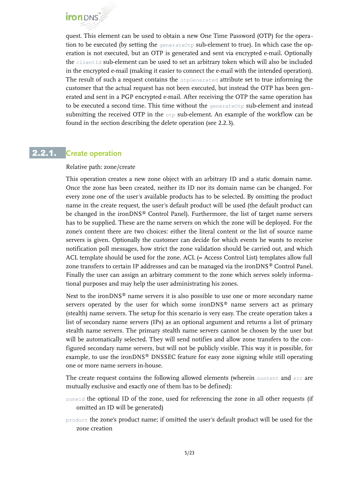quest. This element can be used to obtain a new One Time Password (OTP) for the opera tion to be executed (by setting the generateOtp sub-element to true). In which case the operation is not executed, but an OTP is generated and sent via encrypted e-mail. Optionally the clientId sub-element can be used to set an arbitrary token which will also be included in the encrypted e-mail (making it easier to connect the e-mail with the intended operation). The result of such a request contains the  $\circ$ tpGenerated attribute set to true informing the customer that the actual request has not been executed, but instead the OTP has been generated and sent in a PGP encrypted e-mail. After receiving the OTP the same operation has to be executed a second time. This time without the  $q$ enerateOtp sub-element and instead submitting the received OTP in the  $\circ$ tp sub-element. An example of the workflow can be found in the section describing the delete operation (see [2.2.3\)](#page-9-0).

# 2.2.1. **Create operation**

#### <span id="page-4-0"></span>Relative path: zone/create

This operation creates a new zone object with an arbitrary ID and a static domain name. Once the zone has been created, neither its ID nor its domain name can be changed. For every zone one of the user's available products has to be selected. By omitting the product name in the create request, the user's default product will be used (the default product can be changed in the ironDNS® Control Panel). Furthermore, the list of target name servers has to be supplied. These are the name servers on which the zone will be deployed. For the zone's content there are two choices: either the literal content or the list of source name servers is given. Optionally the customer can decide for which events he wants to receive notification poll messages, how strict the zone validation should be carried out, and which ACL template should be used for the zone. ACL (= Access Control List) templates allow full zone transfers to certain IP addresses and can be managed via the ironDNS® Control Panel. Finally the user can assign an arbitrary comment to the zone which serves solely informational purposes and may help the user administrating his zones.

Next to the ironDNS<sup>®</sup> name servers it is also possible to use one or more secondary name servers operated by the user for which some ironDNS® name servers act as primary (stealth) name servers. The setup for this scenario is very easy. The create operation takes a list of secondary name servers (IPs) as an optional argument and returns a list of primary stealth name servers. The primary stealth name servers cannot be chosen by the user but will be automatically selected. They will send notifies and allow zone transfers to the configured secondary name servers, but will not be publicly visible. This way it is possible, for example, to use the ironDNS® DNSSEC feature for easy zone signing while still operating one or more name servers in-house.

The create request contains the following allowed elements (wherein content and src are mutually exclusive and exactly one of them has to be defined):

- zoneid the optional ID of the zone, used for referencing the zone in all other requests (if omitted an ID will be generated)
- product the zone's product name; if omitted the user's default product will be used for the zone creation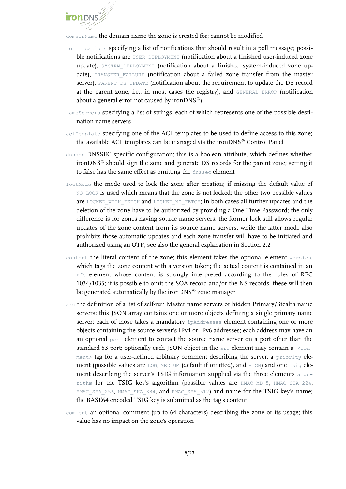

domainName the domain name the zone is created for; cannot be modified

- notifications specifying a list of notifications that should result in a poll message; possible notifications are USER DEPLOYMENT (notification about a finished user-induced zone update), SYSTEM DEPLOYMENT (notification about a finished system-induced zone update), TRANSFER FAILURE (notification about a failed zone transfer from the master server), PARENT DS\_UPDATE (notification about the requirement to update the DS record at the parent zone, i.e., in most cases the registry), and GENERAL ERROR (notification about a general error not caused by iron $DNS^{\circledast})$
- nameServers specifying a list of strings, each of which represents one of the possible destination name servers
- aclTemplate specifying one of the ACL templates to be used to define access to this zone; the available ACL templates can be managed via the ironDNS® Control Panel
- dnssec DNSSEC specific configuration; this is a boolean attribute, which defines whether ironDNS® should sign the zone and generate DS records for the parent zone; setting it to false has the same effect as omitting the dnssec element
- lockMode the mode used to lock the zone after creation; if missing the default value of NO LOCK is used which means that the zone is not locked; the other two possible values are LOCKED WITH FETCH and LOCKED NO FETCH; in both cases all further updates and the deletion of the zone have to be authorized by providing a One Time Password; the only difference is for zones having source name servers: the former lock still allows regular updates of the zone content from its source name servers, while the latter mode also prohibits those automatic updates and each zone transfer will have to be initiated and authorized using an OTP; see also the general explanation in Section [2.2](#page-3-0)
- content the literal content of the zone; this element takes the optional element version, which tags the zone content with a version token; the actual content is contained in an  $rfc$  element whose content is strongly interpreted according to the rules of RFC 1034/1035; it is possible to omit the SOA record and/or the NS records, these will then be generated automatically by the ironDNS® zone manager
- src the definition of a list of self-run Master name servers or hidden Primary/Stealth name servers; this JSON array contains one or more objects defining a single primary name server; each of those takes a mandatory ipAddresses element containing one or more objects containing the source server's IPv4 or IPv6 addresses; each address may have an an optional port element to contact the source name server on a port other than the standard 53 port; optionally each JSON object in the  $src$  element may contain a  $\le$ comment> tag for a user-defined arbitrary comment describing the server, a priority element (possible values are LOW, MEDIUM (default if omitted), and HIGH) and one tsig element describing the server's TSIG information supplied via the three elements algorithm for the TSIG key's algorithm (possible values are HMAC\_MD\_5, HMAC\_SHA\_224, HMAC\_SHA\_256, HMAC\_SHA\_384, and HMAC\_SHA\_512) and name for the TSIG key's name; the BASE64 encoded TSIG key is submitted as the tag's content
- comment an optional comment (up to 64 characters) describing the zone or its usage; this value has no impact on the zone's operation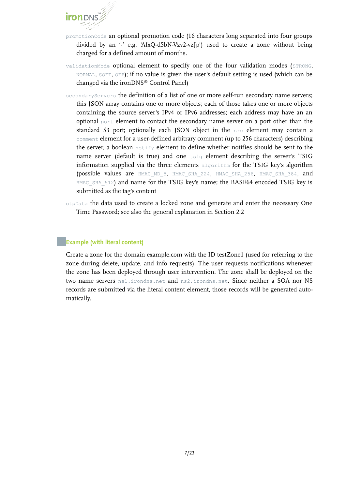

- promotionCode an optional promotion code (16 characters long separated into four groups divided by an '-' e.g. 'AfxQ-d5bN-Vzv2-vzJp') used to create a zone without being charged for a defined amount of months.
- validationMode optional element to specify one of the four validation modes (STRONG, NORMAL, SOFT, OFF); if no value is given the user's default setting is used (which can be changed via the ironDNS® Control Panel)
- secondaryServers the definition of a list of one or more self-run secondary name servers; this JSON array contains one or more objects; each of those takes one or more objects containing the source server's IPv4 or IPv6 addresses; each address may have an an optional port element to contact the secondary name server on a port other than the standard 53 port; optionally each JSON object in the src element may contain a comment element for a user-defined arbitrary comment (up to 256 characters) describing the server, a boolean  $\text{notify}$  element to define whether notifies should be sent to the name server (default is true) and one tsig element describing the server's TSIG information supplied via the three elements  $\alpha$  algorithm for the TSIG key's algorithm (possible values are HMAC\_MD\_5, HMAC\_SHA\_224, HMAC\_SHA\_256, HMAC\_SHA\_384, and HMAC\_SHA\_512) and name for the TSIG key's name; the BASE64 encoded TSIG key is submitted as the tag's content
- otpData the data used to create a locked zone and generate and enter the necessary One Time Password; see also the general explanation in Section [2.2](#page-3-0)

#### **Example (with literal content)**

Create a zone for the domain example.com with the ID testZone1 (used for referring to the zone during delete, update, and info requests). The user requests notifications whenever the zone has been deployed through user intervention. The zone shall be deployed on the two name servers ns1.irondns.net and ns2.irondns.net. Since neither a SOA nor NS records are submitted via the literal content element, those records will be generated automatically.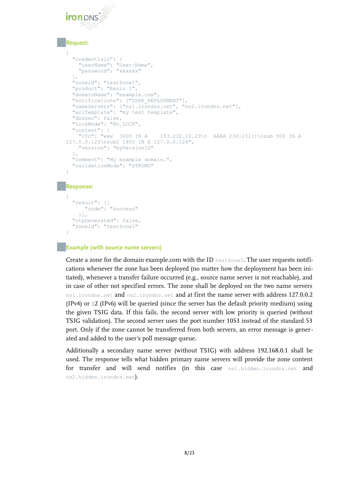#### **Request:**

```
{
   "credentials": {
     "userName": "User-Name",
     "password": "xxxxxx"
   },
   "zoneid": "testZone1",
   "product": "Basic 1",
   "domainName": "example.com",
   "notifications": ["USER_DEPLOYMENT"],
   "nameServers": ["ns1.irondns.net", "ns2.irondns.net"],
   "aclTemplate": "my test template",
   "dnssec": false,
   "lockMode": "NO_LOCK",
  "content": \{\begin{array}{c} \n\text{"cortent":} \\
\text{"rfc": "www 3600 IN A}\n\end{array}193.232.12.23\n AAAA 234:231::\nsub 900 IN A
127.0.0.123\nsub2 1800 IN A 127.0.0.124",
     "version": "myVersionID"
   },
   "comment": "My example domain.",
   "validationMode": "STRONG"
}
```
#### **Response:**

```
{
   "result": [{
      "code": "success"
     }],
   "otpGenerated": false,
   "zoneid": "testZone1"
}
```
#### **Example (with source name servers)**

Create a zone for the domain example.com with the ID  $_{testZone2}$ . The user requests notifications whenever the zone has been deployed (no matter how the deployment has been initiated), whenever a transfer failure occurred (e.g., source name server is not reachable), and in case of other not specified errors. The zone shall be deployed on the two name servers ns1.irondns.net and ns2.irondns.net and at first the name server with address 127.0.0.2 (IPv4) or ::2 (IPv6) will be queried (since the server has the default priority medium) using the given TSIG data. If this fails, the second server with low priority is queried (without TSIG validation). The second server uses the port number 1053 instead of the standard 53 port. Only if the zone cannot be transferred from both servers, an error message is generated and added to the user's poll message queue.

Additionally a secondary name server (without TSIG) with address 192.168.0.1 shall be used. The response tells what hidden primary name servers will provide the zone content for transfer and will send notifies (in this case ns1.hidden.irondns.net and ns2.hidden.irondns.net).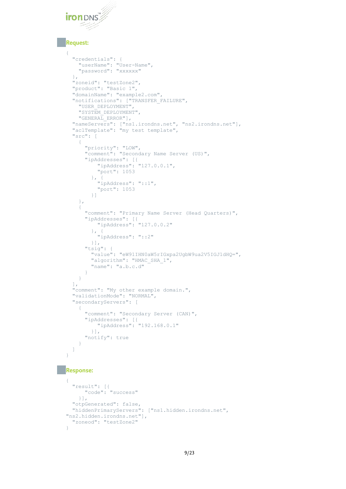

#### **Request:**

{

```
 "credentials": {
 "userName": "User-Name",
 "password": "xxxxxx"
  },
  "zoneid": "testZone2",
  "product": "Basic 1",
  "domainName": "example2.com",
  "notifications": ["TRANSFER_FAILURE",
    "USER_DEPLOYMENT",
    "SYSTEM_DEPLOYMENT",
    "GENERAL_ERROR"],
  "nameServers": ["ns1.irondns.net", "ns2.irondns.net"],
  "aclTemplate": "my test template",
  "src": [
    {
      "priority": "LOW",
      "comment": "Secondary Name Server (US)",
 "ipAddresses": [{
 "ipAddress": "127.0.0.1",
          "port": 1053
}, \qquad \}, {
 "ipAddress": "::1",
 "port": 1053
        }]
    },
    {
      "comment": "Primary Name Server (Head Quarters)",
 "ipAddresses": [{
 "ipAddress": "127.0.0.2"
}, \qquad \}, {
 "ipAddress": "::2"
        }],
      "tsig": {
        "value": "eW91IHN0aW5rIGxpa2UgbW9ua2V5IGJ1dHQ=",
       "algorithm": "HMAC_SHA_1",
        "name": "a.b.c.d"
      }
    }
  ],
  "comment": "My other example domain.",
  "validationMode": "NORMAL",
  "secondaryServers": [
    {
      "comment": "Secondary Server (CAN)",
      "ipAddresses": [{
          "ipAddress": "192.168.0.1"
        }],
      "notify": true
    }
  ]
```
#### **Response:**

}

```
{
  "result": [{
      "code": "success"
    }],
  "otpGenerated": false,
  "hiddenPrimaryServers": ["ns1.hidden.irondns.net", 
"ns2.hidden.irondns.net"],
   "zoneod": "testZone2"
}
```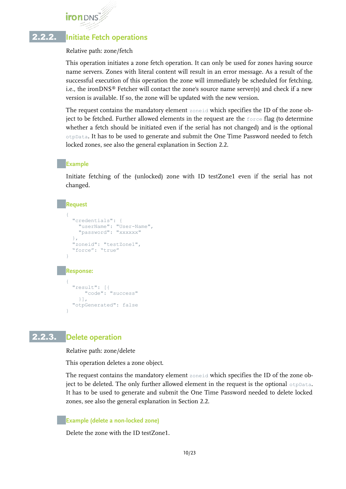# **Initiate Fetch operations**

#### Relative path: zone/fetch

This operation initiates a zone fetch operation. It can only be used for zones having source name servers. Zones with literal content will result in an error message. As a result of the successful execution of this operation the zone will immediately be scheduled for fetching, i.e., the ironDNS® Fetcher will contact the zone's source name server(s) and check if a new version is available. If so, the zone will be updated with the new version.

The request contains the mandatory element zoneid which specifies the ID of the zone object to be fetched. Further allowed elements in the request are the  $\epsilon_{\text{force}}$  flag (to determine whether a fetch should be initiated even if the serial has not changed) and is the optional otpData. It has to be used to generate and submit the One Time Password needed to fetch locked zones, see also the general explanation in Section [2.2](#page-3-0).

#### **Example**

Initiate fetching of the (unlocked) zone with ID testZone1 even if the serial has not changed.

#### **Request**

```
{
   "credentials": {
     "userName": "User-Name",
     "password": "xxxxxx"
   },
   "zoneid": "testZone1",
   "force": "true"
}
Response:
{
   "result": [{
       "code": "success"
     }],
   "otpGenerated": false
}
```
#### 2.2.3. **Delete operation**

<span id="page-9-0"></span>Relative path: zone/delete

This operation deletes a zone object.

The request contains the mandatory element zoneid which specifies the ID of the zone object to be deleted. The only further allowed element in the request is the optional otpData. It has to be used to generate and submit the One Time Password needed to delete locked zones, see also the general explanation in Section [2.2.](#page-3-0)

#### **Example (delete a non-locked zone)**

Delete the zone with the ID testZone1.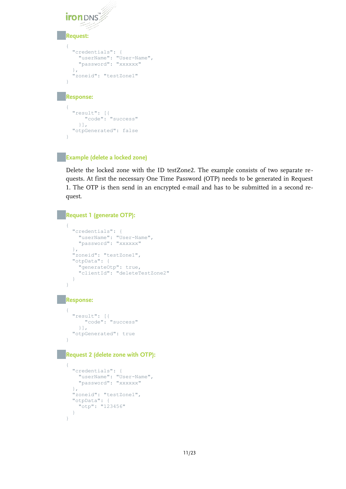```
iron DNS
Request:
{
   "credentials": {
     "userName": "User-Name",
     "password": "xxxxxx"
   },
    "zoneid": "testZone1"
}
Response:
{
   "result": [{
       "code": "success"
     }],
   "otpGenerated": false
}
```
#### **Example (delete a locked zone)**

Delete the locked zone with the ID testZone2. The example consists of two separate re quests. At first the necessary One Time Password (OTP) needs to be generated in Request 1. The OTP is then send in an encrypted e-mail and has to be submitted in a second request.

#### **Request 1 (generate OTP):**

```
{
   "credentials": {
    "userName": "User-Name",
     "password": "xxxxxx"
   },
   "zoneid": "testZone1",
   "otpData": {
    "generateOtp": true,
     "clientId": "deleteTestZone2"
\qquad \qquad \}}
```
#### **Response:**

```
{
 "result": [{
 "code": "success"
    }],
  "otpGenerated": true
}
```
#### **Request 2 (delete zone with OTP):**

```
{
   "credentials": {
     "userName": "User-Name",
     "password": "xxxxxx"
   },
  "zoneid": "testZone1",
   "otpData": {
    "otp": "123456"
   }
}
```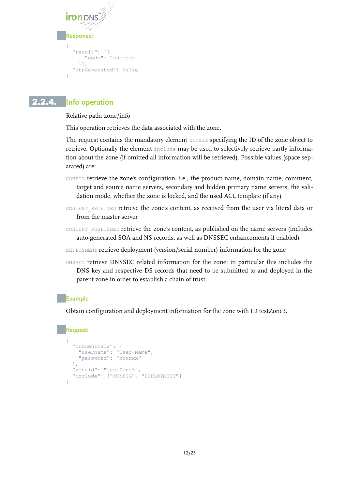```
iron DNS
Response:
{
   "result": [{
       "code": "success"
     }],
   "otpGenerated": false
}
```
# 2.2.4. **Info operation**

Relative path: zone/info

This operation retrieves the data associated with the zone.

The request contains the mandatory element zoneid specifying the ID of the zone object to retrieve. Optionally the element include may be used to selectively retrieve partly information about the zone (if omitted all information will be retrieved). Possible values (space separated) are:

- CONFIG retrieve the zone's configuration, i.e., the product name, domain name, comment, target and source name servers, secondary and hidden primary name servers, the validation mode, whether the zone is locked, and the used ACL template (if any)
- CONTENT\_RECEIVED retrieve the zone's content, as received from the user via literal data or from the master server
- CONTENT PUBLISHED retrieve the zone's content, as published on the name servers (includes auto-generated SOA and NS records, as well as DNSSEC enhancements if enabled)
- DEPLOYMENT retrieve deployment (version/serial number) information for the zone
- DNSSEC retrieve DNSSEC related information for the zone; in particular this includes the DNS key and respective DS records that need to be submitted to and deployed in the parent zone in order to establish a chain of trust

#### **Example**

Obtain configuration and deployment information for the zone with ID testZone3.

#### **Request:**

```
{
   "credentials": {
    "userName": "User-Name",
    "password": "xxxxxx"
 },
 "zoneid": "testZone3",
 "include": ["CONFIG", "DEPLOYMENT"]
}
```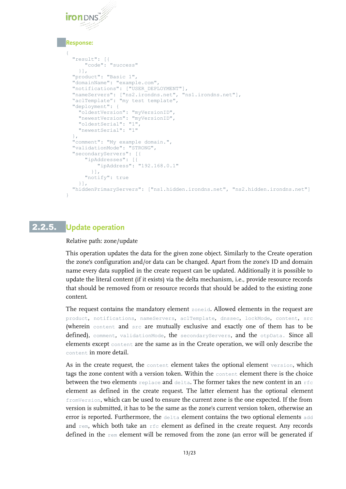#### **Response:**

```
{
  "result": [{
      "code": "success"
    }],
  "product": "Basic 1",
  "domainName": "example.com",
  "notifications": ["USER_DEPLOYMENT"],
 "nameServers": ["ns2.irondns.net", "ns1.irondns.net"],
"aclTemplate": "my test template",
  "deployment": {
    "oldestVersion": "myVersionID",
    "newestVersion": "myVersionID",
    "oldestSerial": "1",
    "newestSerial": "1"
  },
  "comment": "My example domain.",
  "validationMode": "STRONG",
  "secondaryServers": [{
 "ipAddresses": [{
 "ipAddress": "192.168.0.1"
        }],
      "notify": true
    }],
  "hiddenPrimaryServers": ["ns1.hidden.irondns.net", "ns2.hidden.irondns.net"]
}
```
# 2.2.5. **Update operation**

Relative path: zone/update

This operation updates the data for the given zone object. Similarly to the Create operation the zone's configuration and/or data can be changed. Apart from the zone's ID and domain name every data supplied in the create request can be updated. Additionally it is possible to update the literal content (if it exists) via the delta mechanism, i.e., provide resource records that should be removed from or resource records that should be added to the existing zone content.

The request contains the mandatory element zoneid. Allowed elements in the request are product, notifications, nameServers, aclTemplate, dnssec, lockMode, content, src (wherein content and src are mutually exclusive and exactly one of them has to be defined), comment, validationMode, the secondaryServers, and the otpData. Since all elements except content are the same as in the Create operation, we will only describe the content in more detail.

As in the create request, the content element takes the optional element version, which tags the zone content with a version token. Within the content element there is the choice between the two elements replace and delta. The former takes the new content in an rfc element as defined in the create request. The latter element has the optional element fromVersion, which can be used to ensure the current zone is the one expected. If the from version is submitted, it has to be the same as the zone's current version token, otherwise an error is reported. Furthermore, the delta element contains the two optional elements add and  $rem$ , which both take an  $rfc$  element as defined in the create request. Any records defined in the rem element will be removed from the zone (an error will be generated if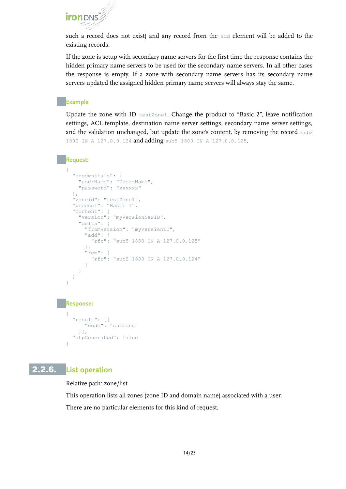such a record does not exist) and any record from the add element will be added to the existing records.

If the zone is setup with secondary name servers for the first time the response contains the hidden primary name servers to be used for the secondary name servers. In all other cases the response is empty. If a zone with secondary name servers has its secondary name servers updated the assigned hidden primary name servers will always stay the same.

#### **Example**

Update the zone with ID testZone1. Change the product to "Basic 2", leave notification settings, ACL template, destination name server settings, secondary name server settings, and the validation unchanged, but update the zone's content, by removing the record sub2 1800 IN A 127.0.0.124 and adding sub5 1800 IN A 127.0.0.125.

#### **Request:**

```
{
   "credentials": {
     "userName": "User-Name",
     "password": "xxxxxx"
   },
   "zoneid": "testZone1",
   "product": "Basic 1",
   "content": { 
     "version": "myVersionNewID",
     "delta": {
       "fromVersion": "myVersionID",
       "add": {
          "rfc": "sub5 1800 IN A 127.0.0.125"
        },
       "rem": {
          "rfc": "sub2 1800 IN A 127.0.0.124"
        }
     }
   }
}
Response:
{
   "result": [{
       "code": "success"
     }],
   "otpGenerated": false
```
# 2.2.6. **List operation**

}

Relative path: zone/list

This operation lists all zones (zone ID and domain name) associated with a user. There are no particular elements for this kind of request.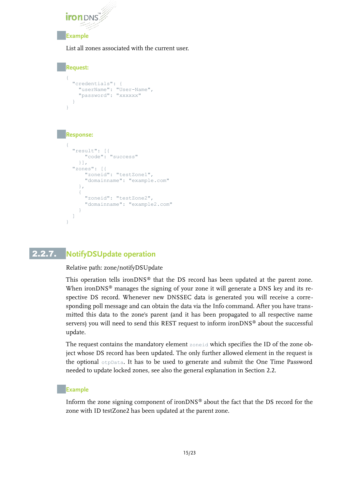

#### **Example**

List all zones associated with the current user.

```
Request:
{
 "credentials": {
 "userName": "User-Name",
     "password": "xxxxxx"
   }
}
Response:
{
   "result": [{
       "code": "success"
     }],
   "zones": [{
       "zoneid": "testZone1",
       "domainname": "example.com"
     },
\{ "zoneid": "testZone2",
       "domainname": "example2.com"
 }
   ]
}
```
# 2.2.7. **NotifyDSUpdate operation**

#### Relative path: zone/notifyDSUpdate

This operation tells ironDNS<sup>®</sup> that the DS record has been updated at the parent zone. When ironDNS<sup>®</sup> manages the signing of your zone it will generate a DNS key and its respective DS record. Whenever new DNSSEC data is generated you will receive a corresponding poll message and can obtain the data via the Info command. After you have transmitted this data to the zone's parent (and it has been propagated to all respective name servers) you will need to send this REST request to inform ironDNS® about the successful update.

The request contains the mandatory element zoneid which specifies the ID of the zone object whose DS record has been updated. The only further allowed element in the request is the optional otpData. It has to be used to generate and submit the One Time Password needed to update locked zones, see also the general explanation in Section [2.2.](#page-3-0)

#### **Example**

Inform the zone signing component of ironDNS® about the fact that the DS record for the zone with ID testZone2 has been updated at the parent zone.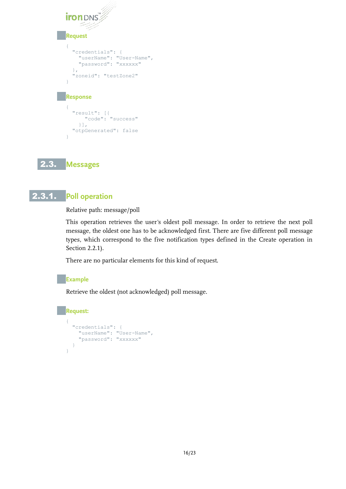| TМ<br><b>Iron</b> D<br>$\epsilon^{\mu}$<br>an <sup>an</sup>                                                               |
|---------------------------------------------------------------------------------------------------------------------------|
| <b>Request</b>                                                                                                            |
| €<br>"credentials": {<br>"userName": "User-Name",<br>"password": "xxxxxx"<br>$\}$ ,<br>"zoneid": "testZone2"<br>$\bigg\}$ |
| <b>Response</b>                                                                                                           |
| ſ<br>"result": [{<br>"code": "success"<br>$\vert \cdot \vert$ ,<br>"otpGenerated": false<br>ł                             |

2.3. **Messages**

# 2.3.1. **Poll operation**

Relative path: message/poll

This operation retrieves the user's oldest poll message. In order to retrieve the next poll message, the oldest one has to be acknowledged first. There are five different poll message types, which correspond to the five notification types defined in the Create operation in Section [2.2.1\)](#page-4-0).

There are no particular elements for this kind of request.

#### **Example**

Retrieve the oldest (not acknowledged) poll message.

# **Request:**

```
{
  "credentials": {
 "userName": "User-Name",
 "password": "xxxxxx"
  }
}
```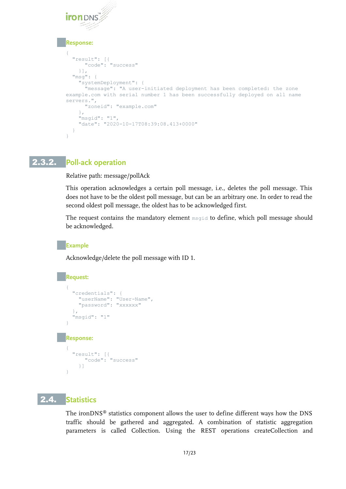#### **Response:**

```
{
   "result": [{
       "code": "success"
     }],
   "msg": {
     "systemDeployment": {
       "message": "A user-initiated deployment has been completed: the zone 
example.com with serial number 1 has been successfully deployed on all name 
servers.",
       "zoneid": "example.com"
     },
     "msgid": "1",
     "date": "2020-10-17T08:39:08.413+0000"
   }
}
```
# 2.3.2. **Poll-ack operation**

Relative path: message/pollAck

This operation acknowledges a certain poll message, i.e., deletes the poll message. This does not have to be the oldest poll message, but can be an arbitrary one. In order to read the second oldest poll message, the oldest has to be acknowledged first.

The request contains the mandatory element msgid to define, which poll message should be acknowledged.

#### **Example**

Acknowledge/delete the poll message with ID 1.

# **Request:**

```
{
   "credentials": {
     "userName": "User-Name",
     "password": "xxxxxx"
   },
   "msgid": "1"
}
Response:
{
```

```
 "result": [{
     "code": "success"
   }]
```
# 2.4. **Statistics**

}

The ironDNS® statistics component allows the user to define different ways how the DNS traffic should be gathered and aggregated. A combination of statistic aggregation parameters is called Collection. Using the REST operations createCollection and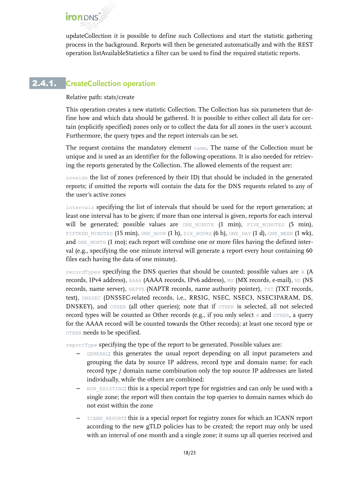updateCollection it is possible to define such Collections and start the statistic gathering process in the background. Reports will then be generated automatically and with the REST operation listAvailableStatistics a filter can be used to find the required statistic reports.

# 2.4.1. **CreateCollection operation**

Relative path: stats/create

This operation creates a new statistic Collection. The Collection has six parameters that define how and which data should be gathered. It is possible to either collect all data for certain (explicitly specified) zones only or to collect the data for all zones in the user's account. Furthermore, the query types and the report intervals can be set.

The request contains the mandatory element name. The name of the Collection must be unique and is used as an identifier for the following operations. It is also needed for retrieving the reports generated by the Collection. The allowed elements of the request are:

zoneids the list of zones (referenced by their ID) that should be included in the generated reports; if omitted the reports will contain the data for the DNS requests related to any of the user's active zones

intervals specifying the list of intervals that should be used for the report generation; at least one interval has to be given; if more than one interval is given, reports for each interval will be generated; possible values are ONE MINUTE (1 min), FIVE MINUTES (5 min), FIFTEEN MINUTES (15 min), ONE HOUR (1 h), SIX HOURS (6 h), ONE DAY (1 d), ONE WEEK (1 wk), and ONE\_MONTH (1 mo); each report will combine one or more files having the defined interval (e.g., specifying the one minute interval will generate a report every hour containing 60 files each having the data of one minute).

recordTypes specifying the DNS queries that should be counted; possible values are A (A records, IPv4 address), AAAA (AAAA records, IPv6 address), MX (MX records, e-mail), NS (NS records, name server), NAPTR (NAPTR records, name authority pointer), TXT (TXT records, text), DNSSEC (DNSSEC-related records, i.e., RRSIG, NSEC, NSEC3, NSEC3PARAM, DS, DNSKEY), and OTHER (all other queries); note that if OTHER is selected, all not selected record types will be counted as Other records (e.g., if you only select A and OTHER, a query for the AAAA record will be counted towards the Other records); at least one record type or OTHER needs to be specified.

reportType specifying the type of the report to be generated. Possible values are:

- GENERAL: this generates the usual report depending on all input parameters and grouping the data by source IP address, record type and domain name; for each record type / domain name combination only the top source IP addresses are listed individually, while the others are combined;
- $-$  NON EXISTING: this is a special report type for registries and can only be used with a single zone; the report will then contain the top queries to domain names which do not exist within the zone
- ICANN\_REPORT: this is a special report for registry zones for which an ICANN report according to the new gTLD policies has to be created; the report may only be used with an interval of one month and a single zone; it sums up all queries received and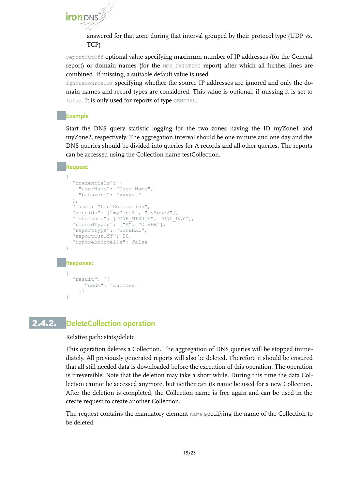

answered for that zone during that interval grouped by their protocol type (UDP vs. TCP)

reportCutOff optional value specifying maximum number of IP addresses (for the General report) or domain names (for the NON EXISTING report) after which all further lines are combined. If missing, a suitable default value is used.

ignoreSourceIPs specifying whether the source IP addresses are ignored and only the domain names and record types are considered. This value is optional, if missing it is set to false. It is only used for reports of type GENERAL.

#### **Example**

Start the DNS query statistic logging for the two zones having the ID myZone1 and myZone2, respectively. The aggregation interval should be one minute and one day and the DNS queries should be divided into queries for A records and all other queries. The reports can be accessed using the Collection name testCollection.

#### **Request:**

```
{
    "credentials": {
     "userName": "User-Name",
     "password": "xxxxxx"
  },
   "name": "testCollection", 
    "zoneids": ["myZone1", "myZone2"],
   "intervals": ["ONE MINUTE", "ONE DAY"],
   "recordTypes": ["A", "OTHER"],
   "reportType": "GENERAL",
   "reportCutOff": 50,
    "ignoreSourceIPs": false
 }
Response:
 {
   "result": [{
        "code": "success"
      }]
 }
```
# 2.4.2. **DeleteCollection operation**

Relative path: stats/delete

This operation deletes a Collection. The aggregation of DNS queries will be stopped immediately. All previously generated reports will also be deleted. Therefore it should be ensured that all still needed data is downloaded before the execution of this operation. The operation is irreversible. Note that the deletion may take a short while. During this time the data Collection cannot be accessed anymore, but neither can its name be used for a new Collection. After the deletion is completed, the Collection name is free again and can be used in the create request to create another Collection.

The request contains the mandatory element name specifying the name of the Collection to be deleted.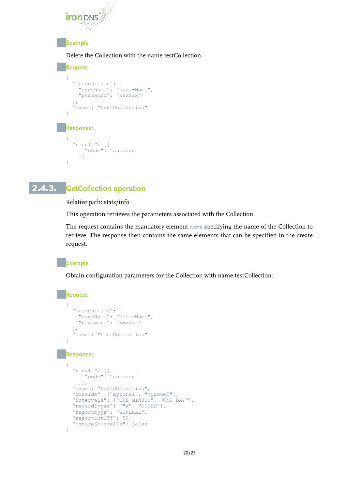

### **Example**

Delete the Collection with the name testCollection.

```
Request:
{
 "credentials": {
 "userName": "User-Name",
     "password": "xxxxxx"
 },
   "name": "testCollection"
}
Response:
{
   "result": [{
       "code": "success"
     }]
}
```
# 2.4.3. **GetCollection operation**

Relative path: stats/info

This operation retrieves the parameters associated with the Collection.

The request contains the mandatory element name specifying the name of the Collection to retrieve. The response then contains the same elements that can be specified in the create request.

#### **Example**

Obtain configuration parameters for the Collection with name testCollection.

#### **Request:**

```
{
    "credentials": {
      "userName": "User-Name",
      "password": "xxxxxx"
    },
    "name": "testCollection"
 }
Response:
 {
    "result": [{
        "code": "success"
      }],
   "name": "testCollection",
    "zoneids": ["myZone1", "myZone2"],
    "intervals": ["ONE_MINUTE", "ONE_DAY"],
  "recordTypes": ["A", "OTHER"],
  "reportType": "GENERAL",
    "reportCutOff": 50, 
    "ignoreSourceIPs": false
 }
```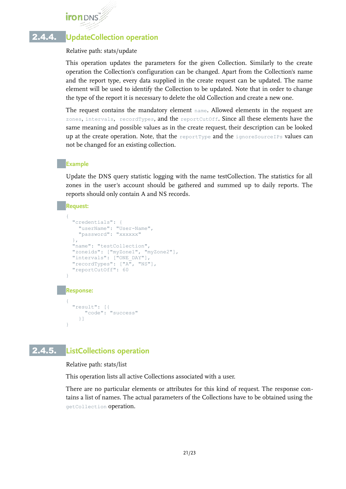# 2.4.4. **UpdateCollection operation**

Relative path: stats/update

This operation updates the parameters for the given Collection. Similarly to the create operation the Collection's configuration can be changed. Apart from the Collection's name and the report type, every data supplied in the create request can be updated. The name element will be used to identify the Collection to be updated. Note that in order to change the type of the report it is necessary to delete the old Collection and create a new one.

The request contains the mandatory element name. Allowed elements in the request are zones, intervals, recordTypes, and the reportCutOff. Since all these elements have the same meaning and possible values as in the create request, their description can be looked up at the create operation. Note, that the reportType and the ignoreSourceIPs values can not be changed for an existing collection.

#### **Example**

Update the DNS query statistic logging with the name testCollection. The statistics for all zones in the user's account should be gathered and summed up to daily reports. The reports should only contain A and NS records.

#### **Request:**

```
{
   "credentials": {
    "userName": "User-Name",
     "password": "xxxxxx"
   },
   "name": "testCollection", 
   "zoneids": ["myZone1", "myZone2"],
 "intervals": ["ONE_DAY"],
 "recordTypes": ["A", "NS"],
   "reportCutOff": 60
}
Response:
{
   "result": [{
       "code": "success"
     }]
```
# 2.4.5. **ListCollections operation**

}

Relative path: stats/list

This operation lists all active Collections associated with a user.

There are no particular elements or attributes for this kind of request. The response contains a list of names. The actual parameters of the Collections have to be obtained using the getCollection operation.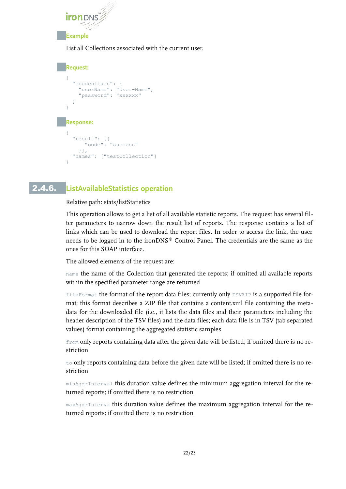

List all Collections associated with the current user.

```
Request:
 {
  "credentials": {
  "userName": "User-Name",
      "password": "xxxxxx"
 \qquad \qquad \}}
Response:
 {
    "result": [{
        "code": "success"
      }],
    "names": ["testCollection"]
 }
```
# 2.4.6. **ListAvailableStatistics operation**

Relative path: stats/listStatistics

This operation allows to get a list of all available statistic reports. The request has several filter parameters to narrow down the result list of reports. The response contains a list of links which can be used to download the report files. In order to access the link, the user needs to be logged in to the ironDNS® Control Panel. The credentials are the same as the ones for this SOAP interface.

The allowed elements of the request are:

name the name of the Collection that generated the reports; if omitted all available reports within the specified parameter range are returned

fileFormat the format of the report data files; currently only TSVZIP is a supported file format; this format describes a ZIP file that contains a content.xml file containing the metadata for the downloaded file (i.e., it lists the data files and their parameters including the header description of the TSV files) and the data files; each data file is in TSV (tab separated values) format containing the aggregated statistic samples

from only reports containing data after the given date will be listed; if omitted there is no restriction

 $\pm$ o only reports containing data before the given date will be listed; if omitted there is no restriction

minAggrInterval this duration value defines the minimum aggregation interval for the returned reports; if omitted there is no restriction

maxAggrInterva this duration value defines the maximum aggregation interval for the returned reports; if omitted there is no restriction